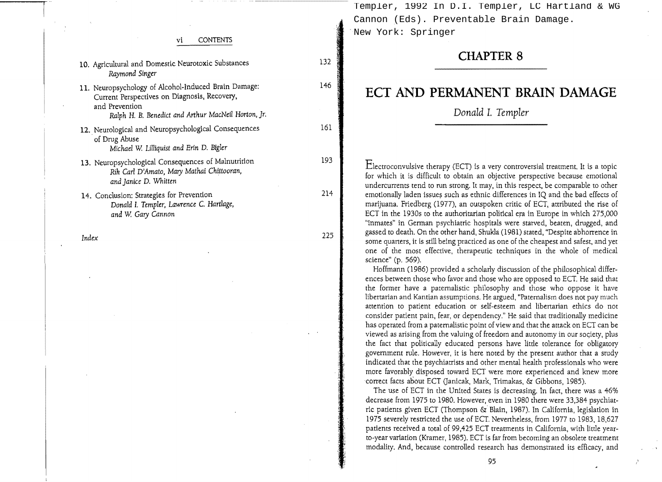Templer, 1992 In D.I. Templer, LC Hartland & WG Cannon (Eds). Preventable Brain Damage. New York: Springer

# **CHAPTER 8**

# <sup>146</sup>**ECT AND PERMANENT BRAIN DAMAGE**

*Donald* I. *Templer* 

Electroconvulsive therapy (ECT) is a very controversial treatment. It is a topic for which it is difficult to obtain an objective perspective because emotional undercurrents tend to run strong. It may, in this respect, be comparable to other emotionally laden issues such as ethnic differences in IQ and the bad effects of marijuana. Friedberg (1977), an outspoken critic of ECT, attributed ECT in the 1930s to the authoritarian political era in Europe in which 275,000 "inmates" in German psychiatric hospitals were starved, beaten, drugged, and gassed to death. On the other hand, Shukla (1981) stated, "Despite abhorrence in some quarters, it is still being practiced as one of the cheapest and safest, and yet one of the most effective, therapeutic techniques in the whole of medical science" (p. 569).

Hoffmann (1986) provided a scholarly discussion of the philosophical differences between those who favor and those who are opposed to ECT. He said that the former have a paternalistic philosophy and those who oppose it have libertarian and Kantian assumptions. He argued, "Paternalism does not pay much attention to patient education or self-esteem and libertarian ethics do not consider patient pain, fear, or dependency." He said that traditionally medicine has operated from a paternalistic point of view and that the attack on ECT can be viewed as arising from the valuing of freedom and autonomy in our society, plus the fact that politically educated persons have little tolerance for obligatory government rule. However, it is here noted by the present author that a study indicated that the psychiatrists and other mental health professionals who were more favorably disposed toward ECT were more experienced and knew more correct facts about ECT Qanicak, Mark, Trimakas, &: Gibbons, 1985).

The use of ECT in the United States is decreasing. In fact, there was a 46% decrease from 1975 to 1980. However, even in 1980 there were 33,384 psychiatric patients given ECr (Thompson &:' Blain, 1987). In California, legislation in 1975 severely restricted the use of ECr. Nevertheless, from 1977 to 1983, 18,627 patients received a total of 99,425 ECT treatments in California, with little yearto-year variation (Kramer, 1985). ECr is far from becoming an obsolete treatment modality. And, because controlled research has demonstrated its efficacy, and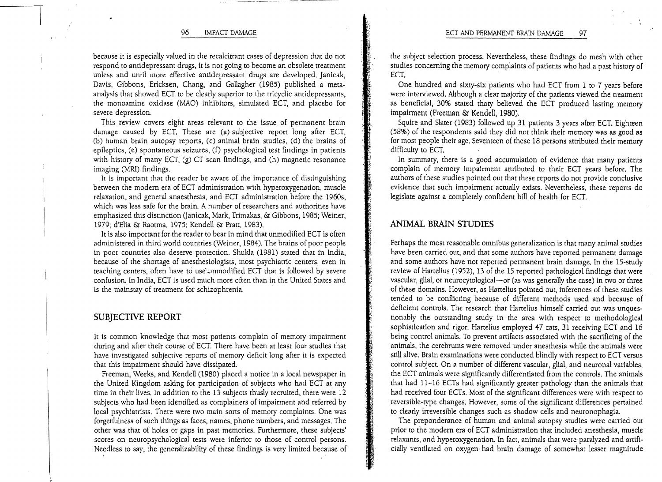because it is especially valued in the recalcitrant cases of depression that do not respond to antidepressant drugs, it is not going to become an obsolete treatment unless and until more effective antidepressant drugs are developed. Janicak, Davis, Gibbons, Ericksen, Chang, and Gallagher (1985) published a metaanalysis that showed ECT to be clearly superior to the tricyclic antidepressants, the monoamine oxidase (MAO) inhibitors, simulated ECT, and placebo for severe depression.

This review covers eight areas relevant to the issue of permanent brain damage caused by ECT. These are (a) subjective report long after ECT, (b) human brain autopsy reports, (c) animal brain studies, (d) the brains of epileptics, (e) spontaneous seizures, (f) psychological test findings in patients with history of many ECT, (g) CT scan findings, and (h) magnetic resonance imaging (MRI) findings.

It is important that the reader be aware of the importance of distinguishing between the modem era of ECT administration with hyperoxygenation, muscle relaxation, and general anaesthesia, and ECT administration before the 1960s, which was less safe for the brain. A number of researchers and authorities have emphasized this distinction (Janicak, Mark, Trimakas, & Gibbons, 1985; Weiner, 1979; d'Elia &. Raotma, 1975; Kendell &. Pratt, 1983).

It is also important for the reader to bear in mind that unmodified ECT is often administered in third world countries (Weiner, 1984). The brains of poor people in poor countries also deserve protection. Shukla (1981) stated that in India, because of the shortage of anesthesiologists, most psychiatric centers, even in teaching centers, often have to use unmodified ECT that is followed by severe confusion. In India, ECT is used much more often than in the United States and is the mainstay of treatment for schizophrenia.

### **SUBJECTIVE REPORT**

It is common knowledge that most patients complain of memory impairment during and after their course of ECT. There have been at least four studies that have investigated subjective reports of memory deficit long after it is expected that this impairment should have dissipated.

Freeman, Weeks, and Kendell (1980) placed a notice in a local newspaper in the United Kingdom asking for participation of subjects who had ECT at any time in their lives. In addition to the 13 subjects thusly recruited, there were 12 subjects who had been identified as complainers of impairment and referred by local psychiatrists. There were two main sorts of memory complaints. One was forgetfulness of such things as faces, names, phone numbers, and messages. The other was that of holes or gaps in past memories. Furthermore, these subjects' scores on neuropsychological tests were inferior to those of control persons. Needless to say, the generalizability of these findings is very limited because of the subject selection process. Nevertheless, these findings do mesh with other studies concerning the memory complaints of patients who had a past history of ECT.

One hundred and sixty-six patients who had ECT from 1 to 7 years before were interviewed. Although a clear majority of the patients viewed the treatment as beneficial, 30% stated thaty believed the ECT produced lasting memory <sup>l</sup>impairment (Freeman &r Kendell, 1980).

Squire and Slater (1983) followed up 31 patients 3 years after ECT. Eighteen (58%) of the respondents said they did not think their memory was as good as for most people their age. Seventeen of these 18 persons attributed their memory difficulty to ECT.

In summary, there is a good accumulation of evidence that many patients complain of memory impairment attributed to their ECT years before. The authors of these studies pointed out that these reports do not provide conclusive evidence that such impairment actually exists. Nevertheless, these reports do legislate against a completely confident bill of health for ECT.

## ~ **ANIMAL BRAIN STUDIES**

i

Perhaps the most reasonable omnibus generalization is that many animal studies have been carried out, and that some authors have reported permanent damage and some authors have not reported permanent brain damage. In the IS-study review of Hartelius (1952), 13 of the 15 reported pathological findings that were vascular, glial, or neurocytological-or (as was generally the case) in two or three of these domains. However, as Hartelius pointed out, inferences of these studies tended to be conflicting because of different methods used and because of deficient controls. The research that Hartelius himself carried out was unquestionably the outstanding study in the area with respect to methodological sophistication and rigor. Hartelius employed 47 cats, 31 receiving ECT and 16 being control animals. To prevent artifacts associated with the sacrificing of the animals, the cerebrums were removed under anesthesia while the animals were still alive. Brain examinations were conducted blindly with respect to ECT versus control subject. On a number of different vascular, glial, and neuronal variables. the ECT animals were significantly differentiated from the controls. The animals that had 11-16 ECTs had significantly greater pathology than the animals that had received four ECTs. Most of the significant differences were with respect to reversible-type changes. However, some of the significant differences pertained to clearly irreversible changes such as shadow cells and neuronophagia.

The preponderance of human and animal autopsy studies were carried out prior to the modem era of ECT administration that included anesthesia, muscle relaxants, and hyperoxygenation. In fact, animals that were paralyzed and artificially ventilated on oxygen, had brain damage of somewhat lesser magnitude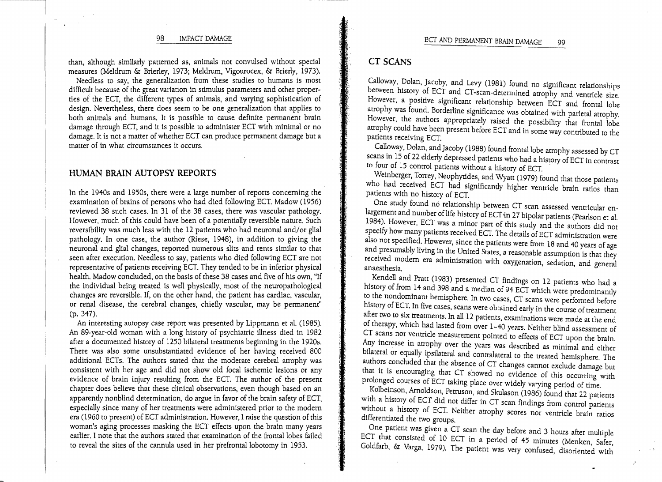#### 98 IMPACT DAMAGE

than, although similarly patterned as, animals not convulsed without special measures (Meldrum & Brierley, 1973; Meldrum, Vigourocex, & Brierly, 1973).

Needless to say, the generalization from these studies to humans is most difficult because of the great variation in stimulus parameters and other properties of the ECT, the different types of animals, and varying sophistication of design. Nevertheless, there does seem to be one generalization that applies to both animals and humans. It is possible to cause definite permanent brain damage through ECT, and it is possible to administer ECT with minimal or no damage. It is not a matter of whether ECT can produce permanent damage but a matter of in what circumstances it occurs.

#### ~. HUMAN BRAIN AUTOPSY REPORTS

In the 1940s and 1950s, there were a large number of reports concerning the examination of brains of persons who had died following ECT. Madow (1956) reviewed 38 such cases. In 31 of the 38 cases, there was vascular pathology However, much of this could have been of a potentially reversible nature. Such reversibility was much less with the 12 patients who had neuronal and/or glial pathology. In one case, the author (Riese, 1948), in addition to giving the neuronal and glial changes, reported numerous slits and rents similar to that seen after execution. Needless to say, patients who died following ECT are not representative of patients receiving ECT. They tended to be in inferior physical health. Madow concluded, on the basis of these 38 cases and five of his own, "If the individual being treated is well physically, most of the neuropathological changes are reversible. If, on the other hand, the patient has cardiac, vascular, or renal disease, the cerebral changes, chiefly vascular, may be permanent" (p. 347).

An interesting autopsy case report was presented by Lippmann et al. (1985). An 89-year-old woman with a long history of psychiatric illness died in 1982 after a documented history of 1250 bilateral treatments beginning in the 1920s. There was also some unsubstantiated evidence of her having received 800 additional ECTs. The authors stated that the moderate cerebral atrophy was consistent with her age and did not show old focal ischemic lesions or any evidence of brain injury resulting from the ECT. The author of the present chapter does believe that these clinical observations, even though based on an apparently nonblind determination, do argue in favor of the brain safety of ECT, especially since many of her treatments were administered prior to the modem era (1960 to present) of ECT administration. However, I raise the question of this woman's aging processes masking the ECT effects upon the brain many years earlier. I note that the authors stated that examination of the frontal lobes failed to reveal the sites of the cannula used in her prefrontal lobotomy in 1953.

# CT SCANS

:'.1

Calloway, Dolan, Jacoby, and Levy (1981) found no significant relationships between history of ECT and CT-scan-determined atrophy and ventricle size. However, a positive significant relationship between ECT and frontal lobe atrophy was found. Borderline significance was obtained with parietal atrophy. However, the authors appropriately raised the possibility that frontal lobe atrophy could have been present before ECT and in some way contributed to the patients receiving ECT.

 Calloway, Dolan, and Jacoby (1988) found frontal scans in 15 of 22 elderly depressed patients who had a history of ECT in contrast to four of 15 control patients without a history of ECT.

Weinberger, Torrey, Neophytides, and Wyatt (1979) found that those patients who had received ECT had significantly higher ventricle brain ratios than patients with no history of ECT.

 One study found no relationship between CT scan assessed ventricular en largement and number of life history of ECT in 27 bipolar patients (Pearlson et al. However, ECT was a minor part of this study and the authors did not specify how many patients received ECT. the details of ECT administration were also not specified. However, since the patients were from 18 and 40 years of age and presumably living in the United States, a reasonable assumption is that they received modem era administration with oxygenation, sedation, and general anaesthesia.

Kendell and Pratt (1983) presented CT findings on 12 patients who had a history of from 14 and 398 and a median of 94 ECT which were predominantly to the nondominant hemisphere. In two cases, CT scans were performed before history of ECT. In five cases, scans were obtained early in the Course of treatment after two to six treatments. In all 12 patients, examinations were made at the end of therapy, which had lasted from over 1-40 years. Neither blind assessment of CT scans nor ventricle measurement pointed to effects of ECT upon the brain. Any increase in atrophy over the years was described as minimal and either bilateral or equally ipsilateral and contralateral to the treated hemisphere. The authors concluded that the absence of CT changes cannot exclude damage that it is encouraging that CT showed no evidence of this occurring with prolonged courses of ECT taking place over Widely varying period of time.

Kolbeinson, Amoldson, Petruson, and Skulason (1986) found that 22 patients with a history of ECr did not differ in CT scan findings from control patients without a history of ECT. Neither atrophy scores nor ventricle brain ratios differentiated the two groups.

One patient was given a CT scan the day before and 3 hours after multiple ECT that consisted of 10 ECT in a period of 45 minutes (Menken, Safer, Goldfarb, & Varga, 1979). The patient was very confused, disoriented with

,  $\mathcal{E}$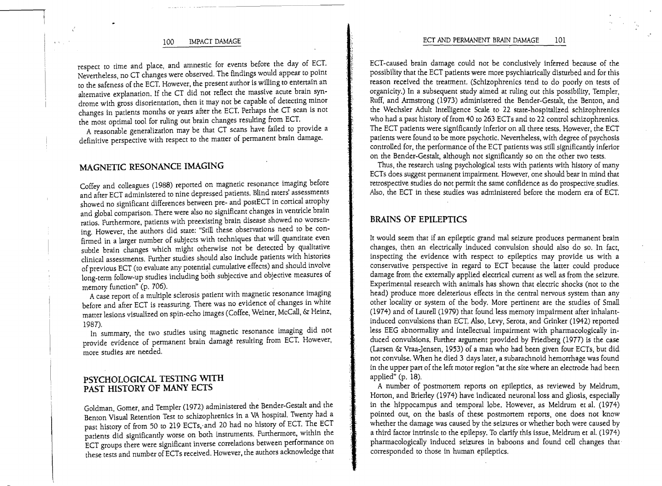#### 100 IMPAcr DAMAGE

respect to time and place, and amnestic for events before the day of ECT. Nevertheless, no CT changes were observed. The findings would appear to point to the safeness of the ECT. However. the present author is willing to entertain an alternative explanation. If the CT did not reflect the massive acute brain syndrome with gross disorientation. then it may not be capable of detecting minor changes in patients months or years after the ECT. Perhaps the CT scan is not the most optimal tool for ruling out brain changes resulting from ECT.

A reasonable generalization may be that CT scans have failed to provide a definitive perspective with respect to the matter of permanent brain damage.

# **MAGNETIC RESONANCE IMAGING**

Coffey and colleagues (1988) reported on magnetic resonance imaging before and after ECT administered to nine depressed patients. Blind raters' assessments showed no significant differences between pre- and postECT in cortical atrophy and global comparison. There were also no significant changes in ventricle brain ratios. Furthermore, patients with preexisting brain disease showed no worsening. However, the authors did state: "Still these observations need to be confirmed in a larger number of subjects with techniques that will quantitate even subtle brain changes which might otherwise not be detected by qualitative clinical assessments. Further studies should also include patients with histories of previous ECT (to evaluate any potential cumulative effects) and should involve long-term follow-up studies including both subjective and objective measures of memory function" (p. 706).

A case report of a multiple sclerosis patient with magnetic resonance imaging before and after ECT is reassuring. There was no evidence of changes in white matter lesions visualized on spin-echo images (Coffee. Weiner, McCall, &: Heinz, 1987).

In summary, the two studies using magnetic resonance imaging did not provide evidence of permanent brain damage resulting from ECT. However, more studies are needed.

# **PSYCHOLOGICAL TESTING WITH PAST HISTORY OF MANY ECTS**

Goldman, Gomer, and Templer (1972) administered the Bender-Gestalt and the Benton Visual Retention Test to schizophrenics in a VA hospital. Twenty had a past history of from 50 to 219 ECTs,'and 20 had no history of ECT. The ECT patients did significantly worse on both instruments. Furthermore, within the ECT groups there were significant inverse correlations between performance on these tests and number of ECTs received. However, the authors acknowledge that

ECT-caused brain damage could not be conclusively inferred because of the possibility that the ECT patients were more psychiatrically disturbed and for this reason received the treatment. (Schizophrenics tend to do poorly on tests of organicity.) In a subsequent study aimed at ruling out this possibility, Templer, Ruff, and Armstrong (1973) administered the Bender-Gestalt, the Benton, and the Wechsler Adult Intelligence Scale to 22 state-hospitalized schizophrenics who had a past history of from 40 to 263 ECTs and to 22 control schizophrenics. The ECT patients were significantly inferior on all three tests. However, the ECT patients were found to be more psychotic. Nevertheless, with degree of psychosis controlled for, the performance of the ECT patients was still significantly inferior on the Bender-Gestalt, although not significantly so on the other two tests.

Thus, the research using psychological tests with patients with history of many ECTs does suggest permanent impairment. However, one should bear in mind retrospective studies do not permit the same confidence as do prospective studies. Also, the ECT in these studies was administered before the modem era of ECT.

#### **BRAINS OF EPILEPTICS**

It would seem that if an epileptic grand mal seizure produces permanent brain changes, then an electrically induced convulsion should also do so. In fact, inspecting the evidence with respect to epileptics may provide us with a conservative perspective in regard to ECT because the latter could produce damage from the externally applied electrical current as well as from the seizure. Experimental research with animals has shown that electric shocks (not to the head) produce more deleterious effects in the central nervous system than any other locality or system of the body. More pertinent are the studies of Small (1974) and of Laurell (1979) that found less memory impairment after inhalantinduced convulsions than ECT. Also, Levy, Serota, and Grinker (1942) reported less EEG abnormality and intellectual impairment with pharmacologically induced convulsions. Further argument provided by Friedberg (1977) is the case (Larsen &: Vraa-Jensen, 1953) of a man who had been given four ECTs, but did. not convulse. When he died 3 days later, a subarachnoid hemorrhage was found in the upper part of the left motor region "at the site where an electrode had been applied" (p. 18).

A number of postmortem reports on epileptics. as reviewed by Meldrum, Horton, and Brierley (1974) have indicated neuronal loss and gliosis, especially in the hippocampus and temporal lobe. However. as Meldrum et al. (1974) pointed out, on the basis of these postmortem reports, one does not know whether the damage was caused by the seizures or whether both were caused by a third factor intrinsic to the epilepsy. To clarify this issue, Meldrum et al. (1974) pharmacologically induced seizures in baboons and found cell changes that corresponded to those in human epileptics.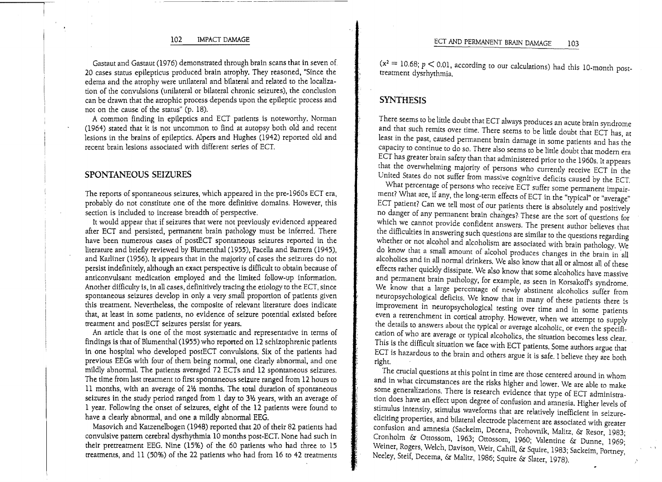Gastaut and Gastaut (1976) demonstrated through brain scans that in seven of 20 cases status epilepticus produced brain atrophy. They reasoned, "Since the edema and the atrophy were unilateral and bilateral and related to the localization of the convulsions (unilateral or bilateral chronic seizures), the conclusion can be drawn that the atrophic process depends upon the epileptic process and not on the cause of the status" (p. 18).

A common finding in epileptics and ECT patients is noteworthy. Norman (1964) stated that it is not uncommon to find at autopsy both old and recent lesions in the brains of epileptics. Alpers and Hughes (1942) reported old and recent brain lesions associated with different series of ECT.

## SPONTANEOUS SEIZURES

The reports of spontaneous seizures, which appeared in the pre-1960s ECT era, probably do not constitute one of the more definitive domains. However, this section is included to increase breadth of perspective.

It would appear that if seizures that were not previously evidenced appeared after ECT and persisted, permanent brain pathology must be inferred. There have been numerous cases of postECT spontaneous seizures reported in the literature and briefly reviewed by Blumenthal (1955). Pacella and Barrera (1945), and Karllner (1956). It appears that in the majority of cases the seizures do not persist indefinitely, although an exact perspective is difficult to obtain because of anticonvulsant medication employed and the limited follow-up information. Another difficulty is, in all cases, definitively tracing the etiology to the ECT, since spontaneous seizures develop in only a very small proportion of patients given this treatment. Nevertheless, the composite of relevant literature does indicate that, at least in some patients, no evidence of seizure potential existed before rreatment and postECT seizures persist for years.

An article that is one of the most systematic and representative in terms of findings is that of Blumenthal (1955) who reported on 12 schizophrenic patients in one hospital who developed postECT convulsions. Six of the patients had previous EEGs with four of them being normal, one clearly abnormal, and one mildly abnormal. The patients averaged 72 ECTs and 12 spontaneous seizures. The time from last treatment to first spontaneous seizure ranged from 12 hours to 11 months, with an average of 2½ months. The total duration of spontaneous seizures in the study period ranged from 1 day to 3½ years, with an average of 1 year. Following the onset of seizures, eight of the 12 patients were found to have a clearly abnormal, and one a mildly abnormal EEG.

Masovich and Katzenelbogen (1948) reported that 20 of their 82 patients had convulsive pattern cerebral dysrhythmia 10 months post-ECT. None had such in their pretreatment EEG. Nine (15%) of the 60 patients who had three to 15 rreatments, and 11 (50%) of the 22 patients who had from 16 to 42 treatments

 $(x^2 = 10.68; p < 0.01$ , according to our calculations) had this 10-month post-treatment dysrhythmia.

# **SYNTHESIS**

There seems to be little doubt that ECT always produces an acute brain syndrome and that such remits over time. There seems to be little doubt that ECT has, at least in the past, caused permanent brain damage in some patients and has the capacity to continue to do so. There also seems to be little doubt that modem era ECT has greater brain safety than that administered prior to the 19605. It appears that the overwhelming majority of persons who currently receive ECT in the United States do not suffer from massive cognitive deficits caused by the ECT.

What percentage of persons who receive ECT suffer some permanent impairment? What are, if any, the long-term effects of ECT in the  $ECl$  patient? Can we tell most of our patients there is absolutely no danger of any permanent brain changes? These are i which we cannot provide confident answers. The present author believes that the difficulties in answering such questions are similar to the questions regarding whether or not alcohol and alcoholism are associated with brain pathology. We do know that a small amount of alcohol produces changes in the brain in all alcoholics and in all normal drinkers. We also know that all or almost all of these effects rather quickly dissipate. We also know that some alcoholics have massive and permanent brain pathology, for example, as seen in Korsakofrs syndrome. We know that a large percentage of newly abstinent alcoholics suffer from neuropsychological deficits. We know that in many of these patients there is improvement in neuropsychological testing over time and in some patients even a retrenchment in cortical atrophy. However, when we attempt to supply the details to answers about the typical or average alcoholic, or even the specification of who are average or typical alcoholics, the situation becomes less clear. This is the difficult situation we face with ECT patients. Some authors argue ECT is hazardous to the brain and others argue it is safe. I believe they are both right.

The crucial questions at this point in time are those centered around in whom and in what circumstances are the risks higher and lower. We are able to make some generalizations. There is research evidence that type of ECT administration does have an effect upon degree of confusion and amnesia. Higher levels of stimulus intensity, stimulus waveforms that are relatively inefficient in seizureeliciting properties, and bilateral electrode placement are associated with greater confusion and amnesia (Sackeim, Decena, Prohovnik, Malitz, & Resor, 1983; Cronholm &: Ottossom, 1963; Ottossom, 1960; Valentine & Dunne, 1969; Weiner, Rogers, Welch, Davison, Weir, Cahill, & Squire. 1983; Sackeim, Portney, Neeley, Steif, Decema, & Malitz, 1986; Squire & Slater, 1978).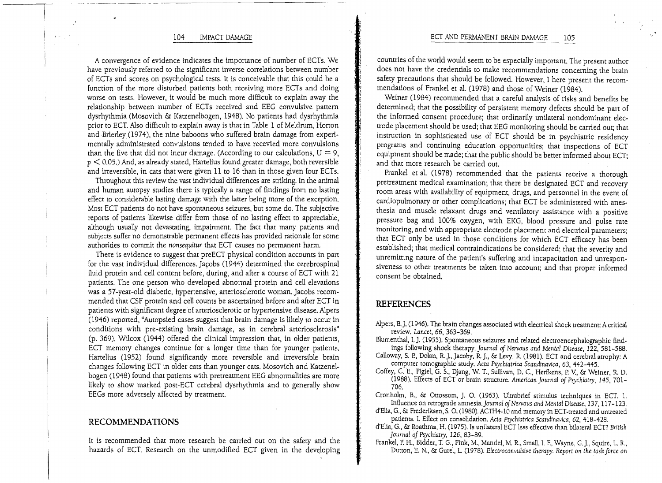A convergence of evidence indicates the importance of number of ECTs. We have previously referred to the significant inverse correlations between number of ECTs and scores on psychological tests. It is conceivable that this could be a function of the more disturbed patients both receiving more ECTs and doing worse on tests. However, it would be much more difficult to explain away the relationship between number of ECTs received and EEG convulsive pattern dysrhythmia (Mosovich &: Katzenelbogen, 1948). No patients had dysrhythmia prior to ECT. Also difficult to explain away is that in Table 1 of Meldrum, Horton and Brierley (1974), the nine baboons who suffered brain damage from experimentally administrated convulsions tended to have recevied more convulsions than the five that did not incur damage. (According to our calculations,  $U = 9$ ,  $p < 0.05$ .) And, as already stated, Hartelius found greater damage, both reversible and irreversible, in cats that were given 11 to 16 than in those given four ECTs.

Throughout this review the vast individual differences are srriking. In the animal and human autopsy srudies there is typically a range of findings from no lasting effect to considerable lasting damage With the latter being more of the exception. Most ECT patients do not have spontaneous seizures, but some do. The subjective reports of patients likewise differ from those of no lasting effect to appreciable, although usually not devastating, impairment. The fact that many patients and subjects suffer no demonstrable permanent effects has provided rationale for some authorities to commit the *nonsequitur* that ECT causes no permanent harm.

There is evidence to suggest that preECT physical condition accounts in part for the vast individual differences. Jacobs (1944) determined the cerebrospinal fluid protein and cell content before, during, and after a course of ECT with 21 patients. The one person who developed abnormal protein and cell elevations was a 57-year-old diabetic, hypertensive, arteriosclerotic woman. Jacobs recommended that CSF protein and cell counts be ascertained before and after ECT in patients with Significant degree of arteriosclerotic or hypertensive disease. Alpers (1946) reported, "Autopsied cases suggest that brain damage is likely to occur in conditions with pre-existing brain damage, as in cerebral arteriosclerosis" 369). Wilcox (1944) offered the clinical impression that, in older patients, ECT memory changes continue for a longer time than for younger patients. Hartelius (1952) found significantly more reversible and irreversible brain changes following ECT in older cats than younger cats. Mosovich and Katzenelbogen (1948) found that patients with pretreatment EEG abnormalities are more likely to show marked post-ECT cerebral dysrhythmia and to generally show EEGs more adversely affected by treatment.

### **RECOMMENDATIONS**

It is recommended that more research be carried out on the safety and the hazards of ECT. Research on the unmodified ECT given in the developing countries of the world would seem to be especially important. The present author does not have the credentials to make recommendations concerning the brain safety precautions that should be followed. However, I here present the recommendations of Frankel et al. (1978) and those of Weiner (1984).

Weiner (1984) recommended that a careful analysis of risks and benefits be determined; that the possibility of persistent memory defects should be part of the informed consent procedure; that ordinarily unilateral nondominant electrode placement should be used; that EEG monitoring should be carried out; that instruction in sophisticated use of ECT should be in psychiatric residency programs and continuing education opportunities; that inspections of ECT equipment should be made; that the public should be better informed about ECT; and that more research be carried out.

Frankel et al. (1978) recommended that the patients receive a thorough pretreatment medical examination; that there be designated ECT and recovery room areas with availability of equipment, drugs, and personnel in the event of cardiopulmonary or other complications; that ECT be administered with anesthesia and muscle relaxant drugs and ventilatory assistance with a positive pressure bag and 100% oxygen, with EKG, blood pressure and pulse rate monitoring, and with appropriate electrode placement and electrical parameters; that ECT only be used in those conditions for which ECT efficacy has been established; that medical contraindications be considered; that the severity and unremitting nature of the patient's suffering and incapacitation and unresponsiveness to other treatments be taken into account; and that proper informed consent be obtained.

#### **REFERENCES**

.i.:·

- Alpers, B.J. (1946). The brain changes associated with electrical shack treatment: A critical review. *Lancet,* 66, 363-369.
- Blumenthal, I. J. (1955). Spontaneous seizures and related electroencephalographic findings following shock therapy. *Journal of Nervous and Mental Disease*, 122, 581-588.
- Calloway, S. P., Dolan, R. J., Jacoby, R. J., &: Levy, R. (1981). ECT and cerebra! atrophy: A ·\_r computer tomographic study. *Acta Psychiatrica 5candinavica,* 63, 442-445.
- Coffey, C. E., Figiel, G. S., Djang, W. T., Sullivan, D. c., Herfkens, P. v., &: Weiner, R. D. (1988). Effects of ECT or brain structure. American *Journal of Psychiatry,* 145, 701 706.
- Cronholm, B.. &: Ottossom, ]. O. (1963). Ultrabrief stimulus techniques in ECT. 1. Influence on retrograde amnesia. Journal of Nervous and Mental Disease, 137, 117-123.
- d'Elia, G., &: Frederiksen, S. O. (1980). ACTH4-10 and memory in ECT-treated and untreated patients.!. Effect on consolidation. *Acta Psychiatrica Scandinavica,* 62,418-428.
- d'Elia, G., & Roathma, H. (1975). Is unilateral ECT less effective than bilateral ECT? British *Journal of Psychiatry,* 126, 83-89.
- Frankel, F. H.. Bidder, T. G., Fink, M., Mandel, M. R., Small, 1. F., Wayne, G.]., Squire. L. R., Dutton, E. N., &: Gurd, L. (1978). *Electroconvulsive therapy. Report* on *the task Jorce on*